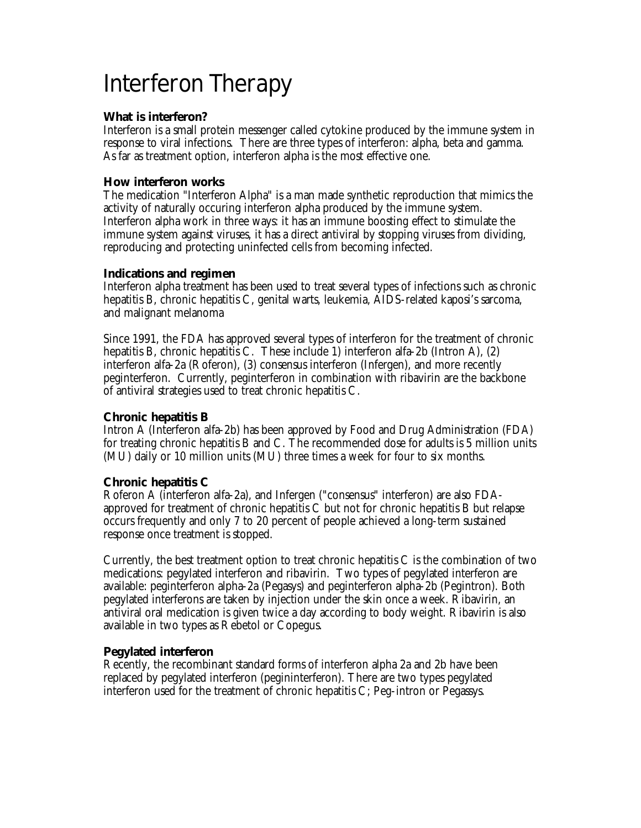# Interferon Therapy

#### **What is interferon?**

Interferon is a small protein messenger called cytokine produced by the immune system in response to viral infections. There are three types of interferon: alpha, beta and gamma. As far as treatment option, interferon alpha is the most effective one.

#### **How interferon works**

The medication "Interferon Alpha" is a man made synthetic reproduction that mimics the activity of naturally occuring interferon alpha produced by the immune system. Interferon alpha work in three ways: it has an immune boosting effect to stimulate the immune system against viruses, it has a direct antiviral by stopping viruses from dividing, reproducing and protecting uninfected cells from becoming infected.

#### **Indications and regimen**

Interferon alpha treatment has been used to treat several types of infections such as chronic hepatitis B, chronic hepatitis C, genital warts, leukemia, AIDS-related kaposi's sarcoma, and malignant melanoma

Since 1991, the FDA has approved several types of interferon for the treatment of chronic hepatitis B, chronic hepatitis C. These include 1) interferon alfa-2b (Intron A), (2) interferon alfa-2a (Roferon), (3) consensus interferon (Infergen), and more recently peginterferon. Currently, peginterferon in combination with ribavirin are the backbone of antiviral strategies used to treat chronic hepatitis C.

### **Chronic hepatitis B**

Intron A (Interferon alfa-2b) has been approved by Food and Drug Administration (FDA) for treating chronic hepatitis B and C. The recommended dose for adults is 5 million units (MU) daily or 10 million units (MU) three times a week for four to six months.

## **Chronic hepatitis C**

Roferon A (interferon alfa-2a), and Infergen ("consensus" interferon) are also FDAapproved for treatment of chronic hepatitis C but not for chronic hepatitis B but relapse occurs frequently and only 7 to 20 percent of people achieved a long-term sustained response once treatment is stopped.

Currently, the best treatment option to treat chronic hepatitis C is the combination of two medications: pegylated interferon and ribavirin. Two types of pegylated interferon are available: peginterferon alpha-2a (Pegasys) and peginterferon alpha-2b (Pegintron). Both pegylated interferons are taken by injection under the skin once a week. Ribavirin, an antiviral oral medication is given twice a day according to body weight. Ribavirin is also available in two types as Rebetol or Copegus.

## **Pegylated interferon**

Recently, the recombinant standard forms of interferon alpha 2a and 2b have been replaced by pegylated interferon (pegininterferon). There are two types pegylated interferon used for the treatment of chronic hepatitis C; Peg-intron or Pegassys.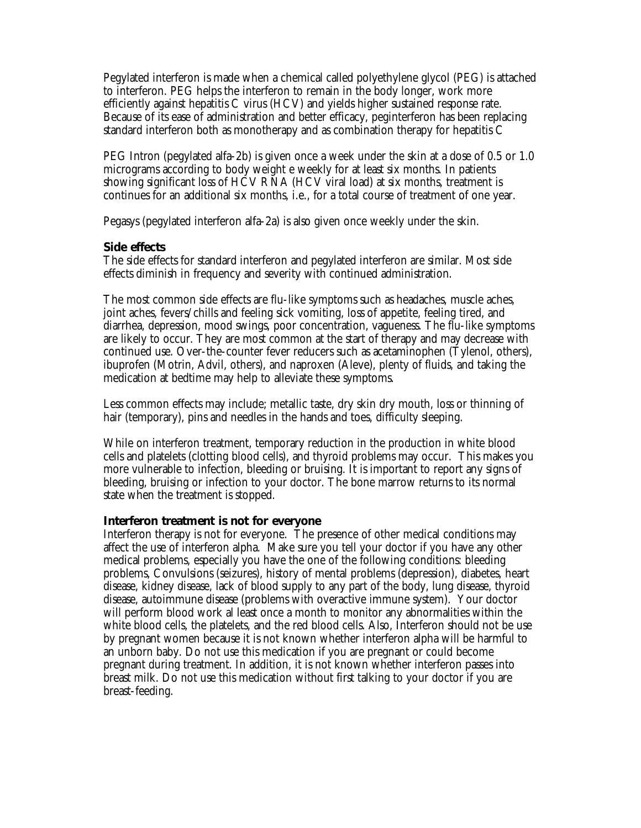Pegylated interferon is made when a chemical called polyethylene glycol (PEG) is attached to interferon. PEG helps the interferon to remain in the body longer, work more efficiently against hepatitis C virus (HCV) and yields higher sustained response rate. Because of its ease of administration and better efficacy, peginterferon has been replacing standard interferon both as monotherapy and as combination therapy for hepatitis C

PEG Intron (pegylated alfa-2b) is given once a week under the skin at a dose of 0.5 or 1.0 micrograms according to body weight e weekly for at least six months. In patients showing significant loss of HCV RNA (HCV viral load) at six months, treatment is continues for an additional six months, i.e., for a total course of treatment of one year.

Pegasys (pegylated interferon alfa-2a) is also given once weekly under the skin.

#### **Side effects**

The side effects for standard interferon and pegylated interferon are similar. Most side effects diminish in frequency and severity with continued administration.

The most common side effects are flu-like symptoms such as headaches, muscle aches, joint aches, fevers/chills and feeling sick vomiting, loss of appetite, feeling tired, and diarrhea, depression, mood swings, poor concentration, vagueness. The flu-like symptoms are likely to occur. They are most common at the start of therapy and may decrease with continued use. Over-the-counter fever reducers such as acetaminophen (Tylenol, others), ibuprofen (Motrin, Advil, others), and naproxen (Aleve), plenty of fluids, and taking the medication at bedtime may help to alleviate these symptoms.

Less common effects may include; metallic taste, dry skin dry mouth, loss or thinning of hair (temporary), pins and needles in the hands and toes, difficulty sleeping.

While on interferon treatment, temporary reduction in the production in white blood cells and platelets (clotting blood cells), and thyroid problems may occur. This makes you more vulnerable to infection, bleeding or bruising. It is important to report any signs of bleeding, bruising or infection to your doctor. The bone marrow returns to its normal state when the treatment is stopped.

#### **Interferon treatment is not for everyone**

Interferon therapy is not for everyone. The presence of other medical conditions may affect the use of interferon alpha. Make sure you tell your doctor if you have any other medical problems, especially you have the one of the following conditions: bleeding problems, Convulsions (seizures), history of mental problems (depression), diabetes, heart disease, kidney disease, lack of blood supply to any part of the body, lung disease, thyroid disease, autoimmune disease (problems with overactive immune system). Your doctor will perform blood work al least once a month to monitor any abnormalities within the white blood cells, the platelets, and the red blood cells. Also, Interferon should not be use by pregnant women because it is not known whether interferon alpha will be harmful to an unborn baby. Do not use this medication if you are pregnant or could become pregnant during treatment. In addition, it is not known whether interferon passes into breast milk. Do not use this medication without first talking to your doctor if you are breast-feeding.